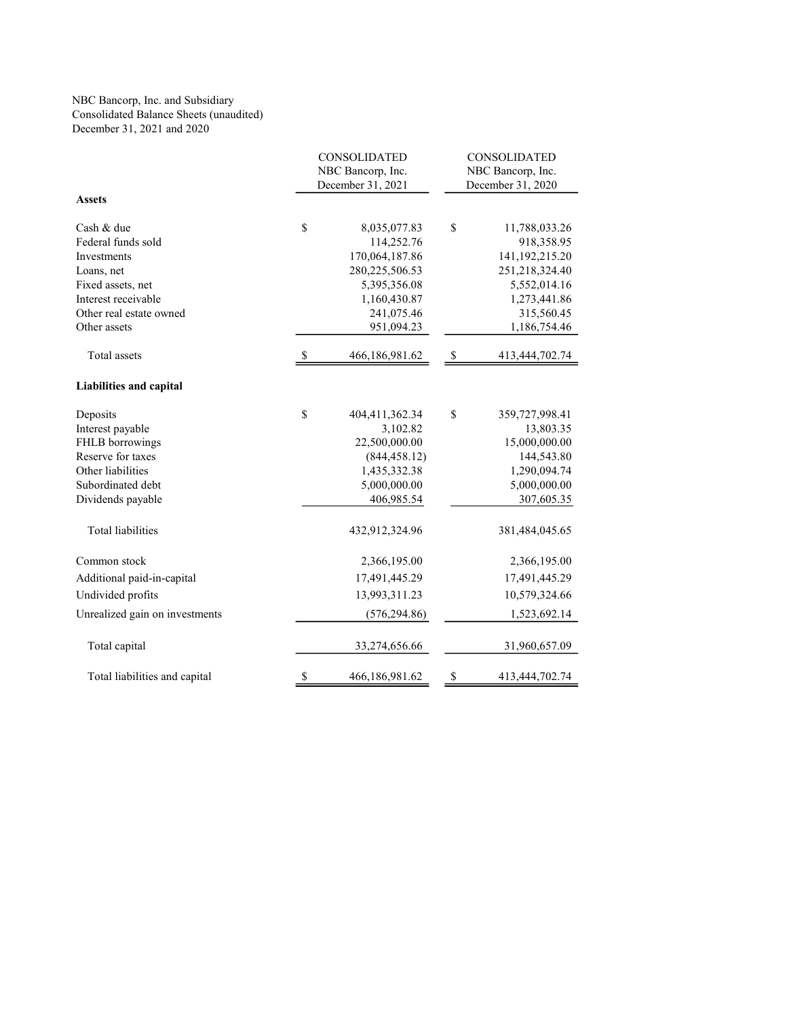## NBC Bancorp, Inc. and Subsidiary Consolidated Balance Sheets (unaudited) December 31, 2021 and 2020

|                                | CONSOLIDATED                           |                   |                                        | CONSOLIDATED      |  |  |
|--------------------------------|----------------------------------------|-------------------|----------------------------------------|-------------------|--|--|
|                                | NBC Bancorp, Inc.<br>December 31, 2021 |                   | NBC Bancorp, Inc.<br>December 31, 2020 |                   |  |  |
|                                |                                        |                   |                                        |                   |  |  |
| <b>Assets</b>                  |                                        |                   |                                        |                   |  |  |
| Cash & due                     | \$                                     | 8,035,077.83      | \$                                     | 11,788,033.26     |  |  |
| Federal funds sold             |                                        | 114,252.76        |                                        | 918,358.95        |  |  |
| Investments                    |                                        | 170,064,187.86    |                                        | 141, 192, 215. 20 |  |  |
| Loans, net                     |                                        | 280, 225, 506. 53 |                                        | 251,218,324.40    |  |  |
| Fixed assets, net              |                                        | 5,395,356.08      |                                        | 5,552,014.16      |  |  |
| Interest receivable            |                                        | 1,160,430.87      |                                        | 1,273,441.86      |  |  |
| Other real estate owned        |                                        | 241,075.46        |                                        | 315,560.45        |  |  |
| Other assets                   |                                        | 951,094.23        |                                        | 1,186,754.46      |  |  |
| Total assets                   | -S                                     | 466,186,981.62    | -S                                     | 413,444,702.74    |  |  |
| <b>Liabilities and capital</b> |                                        |                   |                                        |                   |  |  |
| Deposits                       | \$                                     | 404,411,362.34    | \$                                     | 359,727,998.41    |  |  |
| Interest payable               |                                        | 3,102.82          |                                        | 13,803.35         |  |  |
| FHLB borrowings                |                                        | 22,500,000.00     |                                        | 15,000,000.00     |  |  |
| Reserve for taxes              |                                        | (844, 458.12)     |                                        | 144,543.80        |  |  |
| Other liabilities              |                                        | 1,435,332.38      |                                        | 1,290,094.74      |  |  |
| Subordinated debt              |                                        | 5,000,000.00      |                                        | 5,000,000.00      |  |  |
| Dividends payable              |                                        | 406,985.54        |                                        | 307,605.35        |  |  |
| Total liabilities              |                                        | 432,912,324.96    |                                        | 381,484,045.65    |  |  |
| Common stock                   |                                        | 2,366,195.00      |                                        | 2,366,195.00      |  |  |
| Additional paid-in-capital     |                                        | 17,491,445.29     |                                        | 17,491,445.29     |  |  |
| Undivided profits              |                                        | 13,993,311.23     |                                        | 10,579,324.66     |  |  |
| Unrealized gain on investments |                                        | (576, 294.86)     |                                        | 1,523,692.14      |  |  |
| Total capital                  |                                        | 33,274,656.66     |                                        | 31,960,657.09     |  |  |
| Total liabilities and capital  | \$                                     | 466,186,981.62    | \$                                     | 413,444,702.74    |  |  |